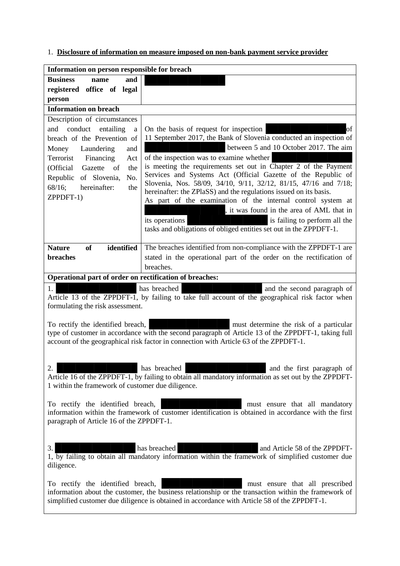1. **Disclosure of information on measure imposed on non-bank payment service provider**

| Information on person responsible for breach                                                                                                                                                         |                                                                                                                                       |
|------------------------------------------------------------------------------------------------------------------------------------------------------------------------------------------------------|---------------------------------------------------------------------------------------------------------------------------------------|
| <b>Business</b><br>and<br>name                                                                                                                                                                       |                                                                                                                                       |
| registered office of legal                                                                                                                                                                           |                                                                                                                                       |
| person                                                                                                                                                                                               |                                                                                                                                       |
| <b>Information on breach</b>                                                                                                                                                                         |                                                                                                                                       |
| Description of circumstances                                                                                                                                                                         |                                                                                                                                       |
| conduct<br>entailing<br>and<br>a                                                                                                                                                                     | On the basis of request for inspection<br>of                                                                                          |
| breach of the Prevention of                                                                                                                                                                          | 11 September 2017, the Bank of Slovenia conducted an inspection of                                                                    |
| Laundering<br>Money<br>and                                                                                                                                                                           | between 5 and 10 October 2017. The aim                                                                                                |
| Terrorist<br>Financing<br>Act                                                                                                                                                                        | of the inspection was to examine whether                                                                                              |
| (Official Gazette<br>the<br>of                                                                                                                                                                       | is meeting the requirements set out in Chapter 2 of the Payment                                                                       |
| Republic<br>of Slovenia,<br>No.                                                                                                                                                                      | Services and Systems Act (Official Gazette of the Republic of                                                                         |
| 68/16;<br>hereinafter:<br>the                                                                                                                                                                        | Slovenia, Nos. 58/09, 34/10, 9/11, 32/12, 81/15, 47/16 and 7/18;<br>hereinafter: the ZPlaSS) and the regulations issued on its basis. |
| ZPPDFT-1)                                                                                                                                                                                            | As part of the examination of the internal control system at                                                                          |
|                                                                                                                                                                                                      | , it was found in the area of AML that in                                                                                             |
|                                                                                                                                                                                                      | is failing to perform all the<br>its operations                                                                                       |
|                                                                                                                                                                                                      | tasks and obligations of obliged entities set out in the ZPPDFT-1.                                                                    |
|                                                                                                                                                                                                      |                                                                                                                                       |
| identified<br><b>of</b><br><b>Nature</b>                                                                                                                                                             | The breaches identified from non-compliance with the ZPPDFT-1 are                                                                     |
| breaches                                                                                                                                                                                             | stated in the operational part of the order on the rectification of                                                                   |
|                                                                                                                                                                                                      | breaches.                                                                                                                             |
| Operational part of order on rectification of breaches:                                                                                                                                              |                                                                                                                                       |
| 1.<br>has breached<br>and the second paragraph of                                                                                                                                                    |                                                                                                                                       |
| Article 13 of the ZPPDFT-1, by failing to take full account of the geographical risk factor when                                                                                                     |                                                                                                                                       |
| formulating the risk assessment.                                                                                                                                                                     |                                                                                                                                       |
|                                                                                                                                                                                                      |                                                                                                                                       |
| To rectify the identified breach,<br>must determine the risk of a particular                                                                                                                         |                                                                                                                                       |
| type of customer in accordance with the second paragraph of Article 13 of the ZPPDFT-1, taking full<br>account of the geographical risk factor in connection with Article 63 of the ZPPDFT-1.        |                                                                                                                                       |
|                                                                                                                                                                                                      |                                                                                                                                       |
|                                                                                                                                                                                                      |                                                                                                                                       |
| has breached<br>2.<br>and the first paragraph of                                                                                                                                                     |                                                                                                                                       |
| Article 16 of the ZPPDFT-1, by failing to obtain all mandatory information as set out by the ZPPDFT-                                                                                                 |                                                                                                                                       |
| 1 within the framework of customer due diligence.                                                                                                                                                    |                                                                                                                                       |
|                                                                                                                                                                                                      |                                                                                                                                       |
| To rectify the identified breach,<br>must ensure that all mandatory                                                                                                                                  |                                                                                                                                       |
| information within the framework of customer identification is obtained in accordance with the first                                                                                                 |                                                                                                                                       |
| paragraph of Article 16 of the ZPPDFT-1.                                                                                                                                                             |                                                                                                                                       |
|                                                                                                                                                                                                      |                                                                                                                                       |
| has breached<br>3.<br>and Article 58 of the ZPPDFT-                                                                                                                                                  |                                                                                                                                       |
|                                                                                                                                                                                                      | 1, by failing to obtain all mandatory information within the framework of simplified customer due                                     |
| diligence.                                                                                                                                                                                           |                                                                                                                                       |
|                                                                                                                                                                                                      |                                                                                                                                       |
| To rectify the identified breach,<br>must ensure that all prescribed                                                                                                                                 |                                                                                                                                       |
| information about the customer, the business relationship or the transaction within the framework of<br>simplified customer due diligence is obtained in accordance with Article 58 of the ZPPDFT-1. |                                                                                                                                       |
|                                                                                                                                                                                                      |                                                                                                                                       |